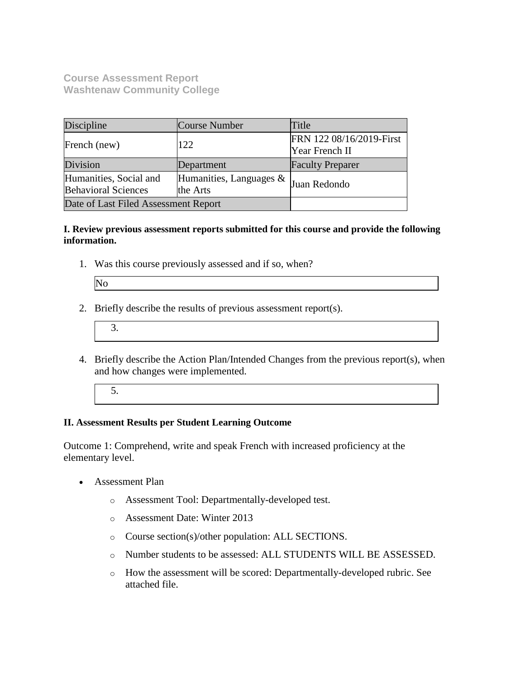**Course Assessment Report Washtenaw Community College**

| Discipline                                                                                  | <b>Course Number</b> | Title                                      |  |
|---------------------------------------------------------------------------------------------|----------------------|--------------------------------------------|--|
| French (new)                                                                                | 122                  | FRN 122 08/16/2019-First<br>Year French II |  |
| Division                                                                                    | Department           | <b>Faculty Preparer</b>                    |  |
| Humanities, Social and<br>Humanities, Languages &<br><b>Behavioral Sciences</b><br>the Arts |                      | Juan Redondo                               |  |
| Date of Last Filed Assessment Report                                                        |                      |                                            |  |

## **I. Review previous assessment reports submitted for this course and provide the following information.**

1. Was this course previously assessed and if so, when?

| הו |
|----|
|    |
|    |
|    |
|    |

- 2. Briefly describe the results of previous assessment report(s).
	- 3.
- 4. Briefly describe the Action Plan/Intended Changes from the previous report(s), when and how changes were implemented.
	- 5.

## **II. Assessment Results per Student Learning Outcome**

Outcome 1: Comprehend, write and speak French with increased proficiency at the elementary level.

- Assessment Plan
	- o Assessment Tool: Departmentally-developed test.
	- o Assessment Date: Winter 2013
	- o Course section(s)/other population: ALL SECTIONS.
	- o Number students to be assessed: ALL STUDENTS WILL BE ASSESSED.
	- o How the assessment will be scored: Departmentally-developed rubric. See attached file.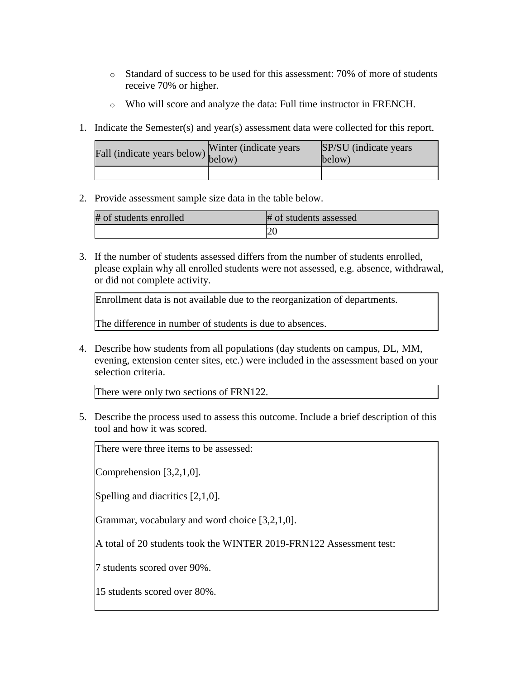- $\circ$  Standard of success to be used for this assessment: 70% of more of students receive 70% or higher.
- o Who will score and analyze the data: Full time instructor in FRENCH.
- 1. Indicate the Semester(s) and year(s) assessment data were collected for this report.

| rall (indicate years below) v measured | Winter (indicate years) | SP/SU (indicate years)<br>below) |
|----------------------------------------|-------------------------|----------------------------------|
|                                        |                         |                                  |

2. Provide assessment sample size data in the table below.

| # of students enrolled | # of students assessed |
|------------------------|------------------------|
|                        |                        |

3. If the number of students assessed differs from the number of students enrolled, please explain why all enrolled students were not assessed, e.g. absence, withdrawal, or did not complete activity.

Enrollment data is not available due to the reorganization of departments.

The difference in number of students is due to absences.

4. Describe how students from all populations (day students on campus, DL, MM, evening, extension center sites, etc.) were included in the assessment based on your selection criteria.

There were only two sections of FRN122.

5. Describe the process used to assess this outcome. Include a brief description of this tool and how it was scored.

There were three items to be assessed:

Comprehension [3,2,1,0].

Spelling and diacritics [2,1,0].

Grammar, vocabulary and word choice [3,2,1,0].

A total of 20 students took the WINTER 2019-FRN122 Assessment test:

7 students scored over 90%.

15 students scored over 80%.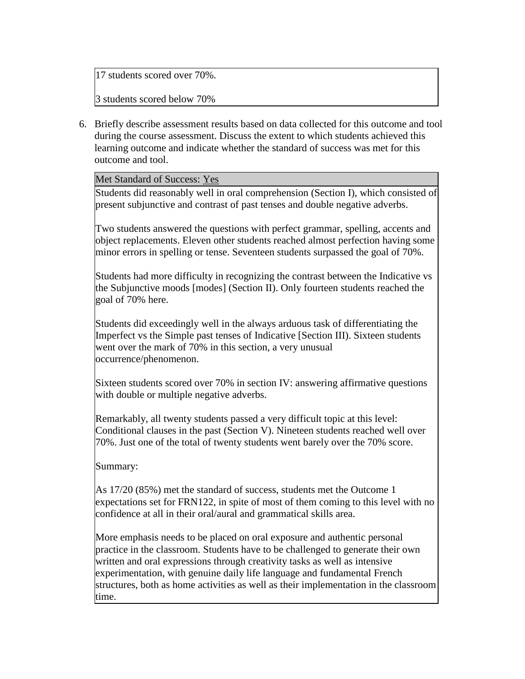17 students scored over 70%.

3 students scored below 70%

6. Briefly describe assessment results based on data collected for this outcome and tool during the course assessment. Discuss the extent to which students achieved this learning outcome and indicate whether the standard of success was met for this outcome and tool.

Met Standard of Success: Yes

Students did reasonably well in oral comprehension (Section I), which consisted of present subjunctive and contrast of past tenses and double negative adverbs.

Two students answered the questions with perfect grammar, spelling, accents and object replacements. Eleven other students reached almost perfection having some minor errors in spelling or tense. Seventeen students surpassed the goal of 70%.

Students had more difficulty in recognizing the contrast between the Indicative vs the Subjunctive moods [modes] (Section II). Only fourteen students reached the goal of 70% here.

Students did exceedingly well in the always arduous task of differentiating the Imperfect vs the Simple past tenses of Indicative [Section III). Sixteen students went over the mark of 70% in this section, a very unusual occurrence/phenomenon.

Sixteen students scored over 70% in section IV: answering affirmative questions with double or multiple negative adverbs.

Remarkably, all twenty students passed a very difficult topic at this level: Conditional clauses in the past (Section V). Nineteen students reached well over 70%. Just one of the total of twenty students went barely over the 70% score.

Summary:

As 17/20 (85%) met the standard of success, students met the Outcome 1 expectations set for FRN122, in spite of most of them coming to this level with no confidence at all in their oral/aural and grammatical skills area.

More emphasis needs to be placed on oral exposure and authentic personal practice in the classroom. Students have to be challenged to generate their own written and oral expressions through creativity tasks as well as intensive experimentation, with genuine daily life language and fundamental French structures, both as home activities as well as their implementation in the classroom time.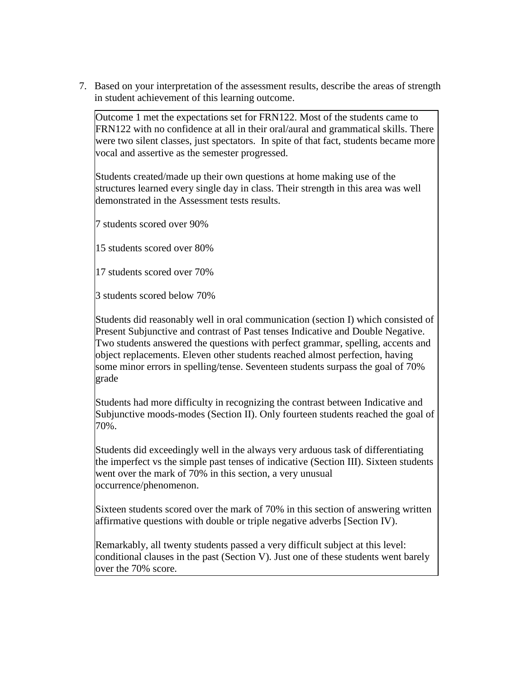7. Based on your interpretation of the assessment results, describe the areas of strength in student achievement of this learning outcome.

Outcome 1 met the expectations set for FRN122. Most of the students came to FRN122 with no confidence at all in their oral/aural and grammatical skills. There were two silent classes, just spectators. In spite of that fact, students became more vocal and assertive as the semester progressed.

Students created/made up their own questions at home making use of the structures learned every single day in class. Their strength in this area was well demonstrated in the Assessment tests results.

7 students scored over 90%

15 students scored over 80%

17 students scored over 70%

3 students scored below 70%

Students did reasonably well in oral communication (section I) which consisted of Present Subjunctive and contrast of Past tenses Indicative and Double Negative. Two students answered the questions with perfect grammar, spelling, accents and object replacements. Eleven other students reached almost perfection, having some minor errors in spelling/tense. Seventeen students surpass the goal of 70% grade

Students had more difficulty in recognizing the contrast between Indicative and Subjunctive moods-modes (Section II). Only fourteen students reached the goal of 70%.

Students did exceedingly well in the always very arduous task of differentiating the imperfect vs the simple past tenses of indicative (Section III). Sixteen students went over the mark of 70% in this section, a very unusual occurrence/phenomenon.

Sixteen students scored over the mark of 70% in this section of answering written affirmative questions with double or triple negative adverbs [Section IV).

Remarkably, all twenty students passed a very difficult subject at this level: conditional clauses in the past (Section V). Just one of these students went barely over the 70% score.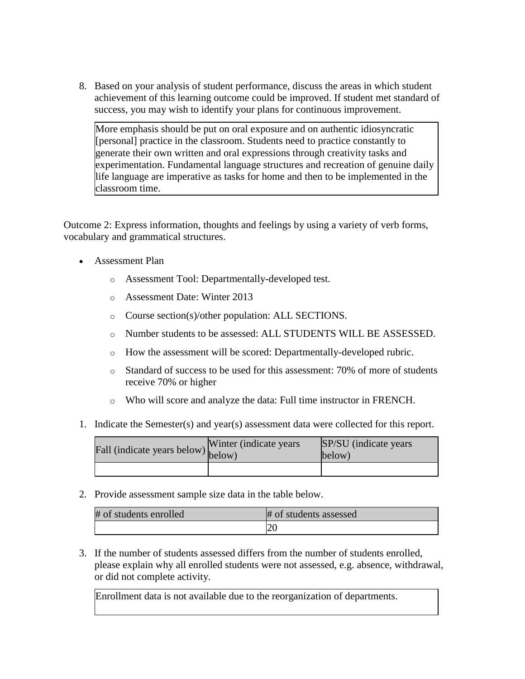8. Based on your analysis of student performance, discuss the areas in which student achievement of this learning outcome could be improved. If student met standard of success, you may wish to identify your plans for continuous improvement.

More emphasis should be put on oral exposure and on authentic idiosyncratic [personal] practice in the classroom. Students need to practice constantly to generate their own written and oral expressions through creativity tasks and experimentation. Fundamental language structures and recreation of genuine daily life language are imperative as tasks for home and then to be implemented in the classroom time.

Outcome 2: Express information, thoughts and feelings by using a variety of verb forms, vocabulary and grammatical structures.

- Assessment Plan
	- o Assessment Tool: Departmentally-developed test.
	- o Assessment Date: Winter 2013
	- o Course section(s)/other population: ALL SECTIONS.
	- o Number students to be assessed: ALL STUDENTS WILL BE ASSESSED.
	- o How the assessment will be scored: Departmentally-developed rubric.
	- o Standard of success to be used for this assessment: 70% of more of students receive 70% or higher
	- o Who will score and analyze the data: Full time instructor in FRENCH.
- 1. Indicate the Semester(s) and year(s) assessment data were collected for this report.

| Fall (indicate years below) $\begin{bmatrix} \text{w}\text{inter} \\ \text{below} \end{bmatrix}$ | Winter (indicate years) | SP/SU (indicate years)<br>below) |
|--------------------------------------------------------------------------------------------------|-------------------------|----------------------------------|
|                                                                                                  |                         |                                  |

2. Provide assessment sample size data in the table below.

| # of students enrolled | # of students assessed |
|------------------------|------------------------|
|                        |                        |

3. If the number of students assessed differs from the number of students enrolled, please explain why all enrolled students were not assessed, e.g. absence, withdrawal, or did not complete activity.

Enrollment data is not available due to the reorganization of departments.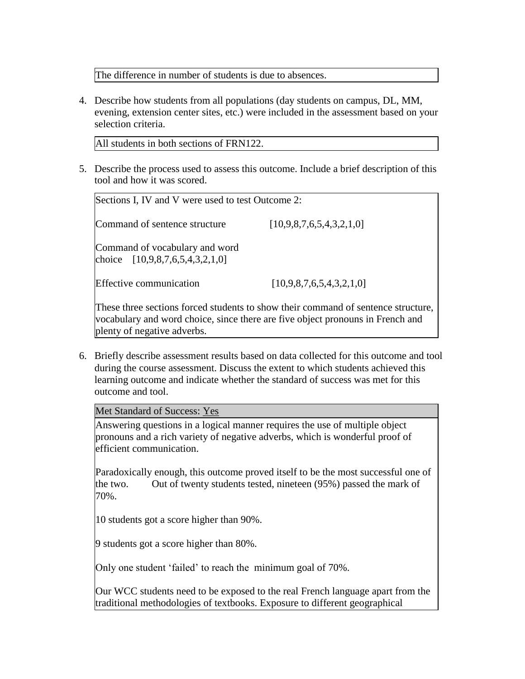The difference in number of students is due to absences.

4. Describe how students from all populations (day students on campus, DL, MM, evening, extension center sites, etc.) were included in the assessment based on your selection criteria.

All students in both sections of FRN122.

5. Describe the process used to assess this outcome. Include a brief description of this tool and how it was scored.

| Sections I, IV and V were used to test Outcome 2:                   |                                                                                                                                                                     |
|---------------------------------------------------------------------|---------------------------------------------------------------------------------------------------------------------------------------------------------------------|
| Command of sentence structure                                       | [10,9,8,7,6,5,4,3,2,1,0]                                                                                                                                            |
| Command of vocabulary and word<br>choice $[10,9,8,7,6,5,4,3,2,1,0]$ |                                                                                                                                                                     |
| <b>Effective communication</b>                                      | [10,9,8,7,6,5,4,3,2,1,0]                                                                                                                                            |
|                                                                     | These three sections forced students to show their command of sentence structure,<br>vocabulary and word choice, since there are five object propouns in French and |

vocabulary and word choice, since there are five object pronouns in French and plenty of negative adverbs.

6. Briefly describe assessment results based on data collected for this outcome and tool during the course assessment. Discuss the extent to which students achieved this learning outcome and indicate whether the standard of success was met for this outcome and tool.

Met Standard of Success: Yes

Answering questions in a logical manner requires the use of multiple object pronouns and a rich variety of negative adverbs, which is wonderful proof of efficient communication.

Paradoxically enough, this outcome proved itself to be the most successful one of the two. Out of twenty students tested, nineteen (95%) passed the mark of 70%.

10 students got a score higher than 90%.

9 students got a score higher than 80%.

Only one student 'failed' to reach the minimum goal of 70%.

Our WCC students need to be exposed to the real French language apart from the traditional methodologies of textbooks. Exposure to different geographical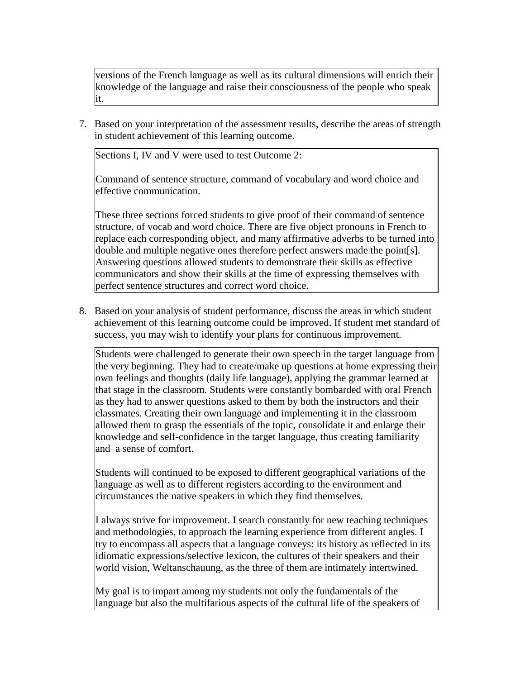versions of the French language as well as its cultural dimensions will enrich their knowledge of the language and raise their consciousness of the people who speak it.

7. Based on your interpretation of the assessment results, describe the areas of strength in student achievement of this learning outcome.

Sections I, IV and V were used to test Outcome 2:

Command of sentence structure, command of vocabulary and word choice and effective communication.

These three sections forced students to give proof of their command of sentence structure, of vocab and word choice. There are five object pronouns in French to replace each corresponding object, and many affirmative adverbs to be turned into double and multiple negative ones therefore perfect answers made the point[s]. Answering questions allowed students to demonstrate their skills as effective communicators and show their skills at the time of expressing themselves with perfect sentence structures and correct word choice.

8. Based on your analysis of student performance, discuss the areas in which student achievement of this learning outcome could be improved. If student met standard of success, you may wish to identify your plans for continuous improvement.

Students were challenged to generate their own speech in the target language from the very beginning. They had to create/make up questions at home expressing their own feelings and thoughts (daily life language), applying the grammar learned at that stage in the classroom. Students were constantly bombarded with oral French as they had to answer questions asked to them by both the instructors and their classmates. Creating their own language and implementing it in the classroom allowed them to grasp the essentials of the topic, consolidate it and enlarge their knowledge and self-confidence in the target language, thus creating familiarity and a sense of comfort.

Students will continued to be exposed to different geographical variations of the language as well as to different registers according to the environment and circumstances the native speakers in which they find themselves.

I always strive for improvement. I search constantly for new teaching techniques and methodologies, to approach the learning experience from different angles. I try to encompass all aspects that a language conveys: its history as reflected in its idiomatic expressions/selective lexicon, the cultures of their speakers and their world vision, Weltanschauung, as the three of them are intimately intertwined.

My goal is to impart among my students not only the fundamentals of the language but also the multifarious aspects of the cultural life of the speakers of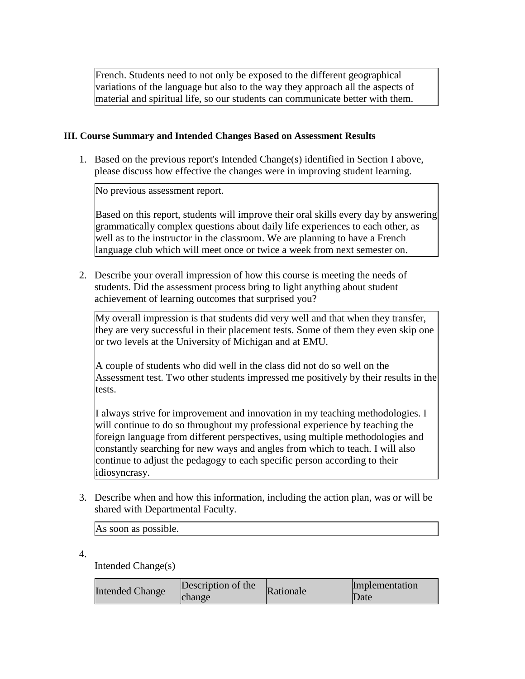French. Students need to not only be exposed to the different geographical variations of the language but also to the way they approach all the aspects of material and spiritual life, so our students can communicate better with them.

## **III. Course Summary and Intended Changes Based on Assessment Results**

1. Based on the previous report's Intended Change(s) identified in Section I above, please discuss how effective the changes were in improving student learning.

No previous assessment report.

Based on this report, students will improve their oral skills every day by answering grammatically complex questions about daily life experiences to each other, as well as to the instructor in the classroom. We are planning to have a French language club which will meet once or twice a week from next semester on.

2. Describe your overall impression of how this course is meeting the needs of students. Did the assessment process bring to light anything about student achievement of learning outcomes that surprised you?

My overall impression is that students did very well and that when they transfer, they are very successful in their placement tests. Some of them they even skip one or two levels at the University of Michigan and at EMU.

A couple of students who did well in the class did not do so well on the Assessment test. Two other students impressed me positively by their results in the tests.

I always strive for improvement and innovation in my teaching methodologies. I will continue to do so throughout my professional experience by teaching the foreign language from different perspectives, using multiple methodologies and constantly searching for new ways and angles from which to teach. I will also continue to adjust the pedagogy to each specific person according to their idiosyncrasy.

3. Describe when and how this information, including the action plan, was or will be shared with Departmental Faculty.

As soon as possible.

4.

Intended Change(s)

| Description of the<br><b>Intended Change</b><br>change | Rationale | Implementation<br>Date |
|--------------------------------------------------------|-----------|------------------------|
|--------------------------------------------------------|-----------|------------------------|